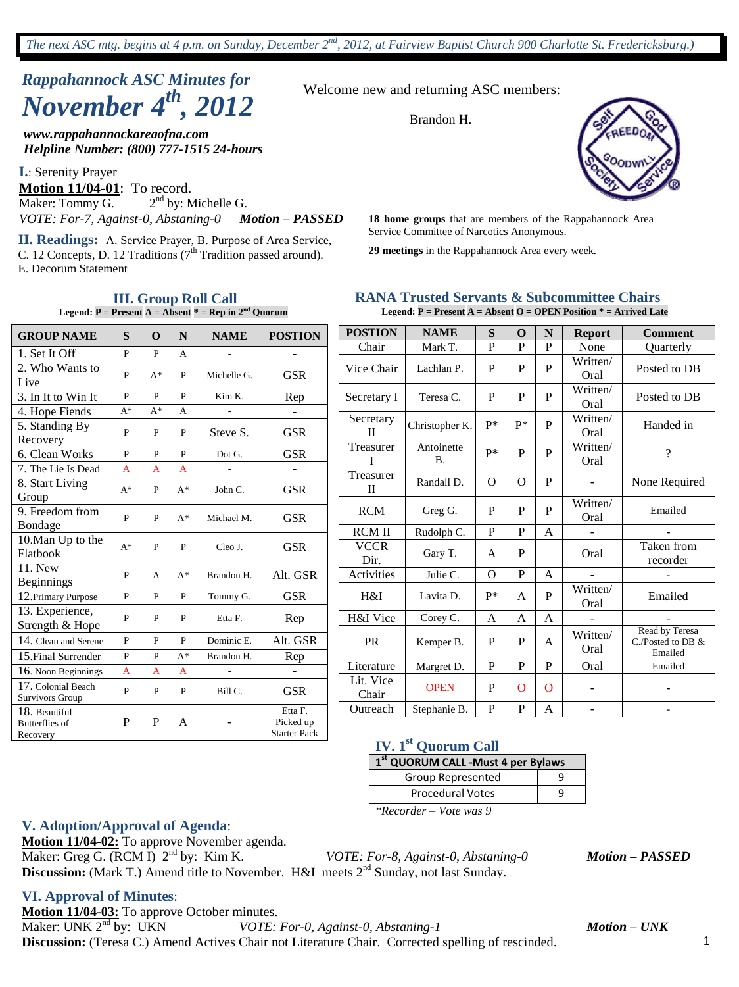# *Rappahannock ASC Minutes for November 4th , 2012*

*www.rappahannockareaofna.com Helpline Number: (800) 777-1515 24-hours*

**I.**: Serenity Prayer **Motion 11/04-01**: To record. Maker: Tommy G.  $2<sup>nd</sup>$  by: Michelle G.

II. Readings: A. Service Prayer, B. Purpose of Area Service, C. 12 Concepts, D. 12 Traditions  $(7<sup>th</sup>$  Tradition passed around). E. Decorum Statement

> **III. Group Roll Call Legend:**  $P = \text{Present A} = \text{Absent}^* = \text{Rep in } 2^{\text{nd}}$  Quorum

Welcome new and returning ASC members:

Brandon H.



*VOTE: For-7, Against-0, Abstaning-0 Motion – PASSED* 18 home groups that are members of the Rappahannock Area<br>Service Committee of Narcotics Anonymous.

**29 meetings** in the Rappahannock Area every week.

#### **RANA Trusted Servants & Subcommittee Chairs Legend: P = Present A = Absent O = OPEN Position \* = Arrived Late**

| <b>GROUP NAME</b>                                  | S            | $\mathbf 0$ | N     | <b>NAME</b> | <b>POSTION</b>                              |  |
|----------------------------------------------------|--------------|-------------|-------|-------------|---------------------------------------------|--|
| 1. Set It Off                                      | P            | P           | A     |             |                                             |  |
| 2. Who Wants to                                    | P            | $A^*$       | P     | Michelle G. | <b>GSR</b>                                  |  |
| Live                                               |              |             |       |             |                                             |  |
| 3. In It to Win It                                 | P            | P           | P     | Kim K.      | Rep                                         |  |
| 4. Hope Fiends                                     | $A^*$        | $A^*$       | A     |             |                                             |  |
| 5. Standing By<br>Recovery                         | P            | P           | P     | Steve S.    | <b>GSR</b>                                  |  |
| 6. Clean Works                                     | $\mathbf{p}$ | P           | P     | Dot G.      | <b>GSR</b>                                  |  |
| 7. The Lie Is Dead                                 | A            | A           | A     |             |                                             |  |
| 8. Start Living<br>Group                           | $A^*$        | P           | $A^*$ | John C.     | <b>GSR</b>                                  |  |
| 9. Freedom from<br>Bondage                         | P            | P           | $A^*$ | Michael M.  | <b>GSR</b>                                  |  |
| 10. Man Up to the<br>Flatbook                      | $A^*$        | P           | P     | Cleo J.     | <b>GSR</b>                                  |  |
| 11. New<br>Beginnings                              | P            | A           | $A^*$ | Brandon H.  | Alt. GSR                                    |  |
| 12. Primary Purpose                                | P            | P           | P     | Tommy G.    | <b>GSR</b>                                  |  |
| 13. Experience,<br>Strength & Hope                 | P            | P           | P     | Etta F.     | Rep                                         |  |
| 14. Clean and Serene                               | P            | P           | P     | Dominic E.  | Alt. GSR                                    |  |
| 15. Final Surrender                                | P            | P           | $A^*$ | Brandon H.  | Rep                                         |  |
| 16. Noon Beginnings                                | A            | A           | A     |             |                                             |  |
| 17. Colonial Beach<br>Survivors Group              | P            | P           | P     | Bill C.     | <b>GSR</b>                                  |  |
| 18. Beautiful<br><b>Butterflies of</b><br>Recovery | P            | P           | A     |             | Etta F.<br>Picked up<br><b>Starter Pack</b> |  |

| <b>POSTION</b>           | <b>NAME</b>             | S            | O            | N            | <b>Report</b>            | <b>Comment</b>                                 |
|--------------------------|-------------------------|--------------|--------------|--------------|--------------------------|------------------------------------------------|
| Chair                    | Mark T.                 | $\mathbf{P}$ | $\mathbf{P}$ | $\mathbf{P}$ | None                     | Quarterly                                      |
| Vice Chair               | Lachlan P.              | P            | P            | P            | Written/<br>Oral         | Posted to DB                                   |
| Secretary I              | Teresa <sub>C</sub> .   | P            | P            | P            | Written/<br>Oral         | Posted to DB                                   |
| Secretary<br>П           | Christopher K.          | p*           | P*           | P            | Written/<br>Oral         | Handed in                                      |
| Treasurer<br>T           | Antoinette<br><b>B.</b> | P*           | P            | P            | Written/<br>Oral         | $\gamma$                                       |
| Treasurer<br>$_{\rm II}$ | Randall D.              | O            | O            | P            |                          | None Required                                  |
| <b>RCM</b>               | Greg G.                 | P            | P            | P            | Written/<br>Oral         | Emailed                                        |
| <b>RCM II</b>            | Rudolph C.              | P            | P            | A            |                          |                                                |
| <b>VCCR</b><br>Dir.      | Gary T.                 | A            | P            |              | Oral                     | Taken from<br>recorder                         |
| Activities               | Julie C.                | $\Omega$     | P            | A            |                          |                                                |
| H&I                      | Lavita D.               | $P*$         | A            | P            | Written/<br>Oral         | Emailed                                        |
| H&I Vice                 | Corey C.                | A            | A            | A            |                          |                                                |
| <b>PR</b>                | Kemper B.               | P            | P            | A            | Written/<br>Oral         | Read by Teresa<br>C./Posted to DB &<br>Emailed |
| Literature               | Margret D.              | P            | P            | P            | Oral                     | Emailed                                        |
| Lit. Vice<br>Chair       | <b>OPEN</b>             | P            | O            | O            | $\overline{\phantom{0}}$ |                                                |
| Outreach                 | Stephanie B.            | $\mathbf{P}$ | P            | A            | $\overline{a}$           |                                                |

#### **IV. 1st Quorum Call**

| 1 <sup>st</sup> QUORUM CALL -Must 4 per Bylaws |  |  |  |  |  |
|------------------------------------------------|--|--|--|--|--|
| Group Represented                              |  |  |  |  |  |
| <b>Procedural Votes</b>                        |  |  |  |  |  |
| $*Factorder = Vote$ was 0                      |  |  |  |  |  |

*\*Recorder – Vote was 9*

#### **V. Adoption/Approval of Agenda**:

**Motion 11/04-02:** To approve November agenda. Maker: Greg G. (RCM I)  $2<sup>nd</sup>$  by: Kim K.

**Discussion:** (Mark T.) Amend title to November. H&I meets  $2^{nd}$  Sunday, not last Sunday.

#### **VI. Approval of Minutes**:

**Motion 11/04-03:** To approve October minutes. Maker: UNK  $2^{nd}$  by: UKN nd by: UKN *VOTE: For-0, Against-0, Abstaning-1 Motion – UNK* **Discussion:** (Teresa C.) Amend Actives Chair not Literature Chair. Corrected spelling of rescinded.

nd by: Kim K. *VOTE: For-8, Against-0, Abstaning-0 Motion – PASSED*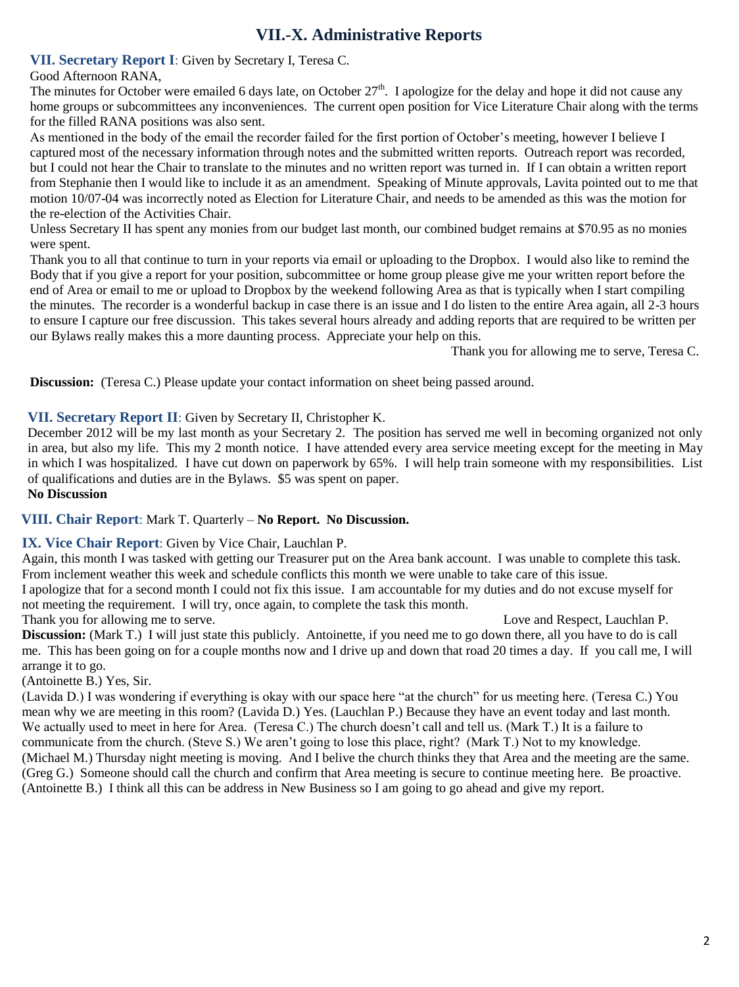# **VII.-X. Administrative Reports**

#### **VII. Secretary Report I**: Given by Secretary I, Teresa C.

#### Good Afternoon RANA,

The minutes for October were emailed 6 days late, on October  $27<sup>th</sup>$ . I apologize for the delay and hope it did not cause any home groups or subcommittees any inconveniences. The current open position for Vice Literature Chair along with the terms for the filled RANA positions was also sent.

As mentioned in the body of the email the recorder failed for the first portion of October's meeting, however I believe I captured most of the necessary information through notes and the submitted written reports. Outreach report was recorded, but I could not hear the Chair to translate to the minutes and no written report was turned in. If I can obtain a written report from Stephanie then I would like to include it as an amendment. Speaking of Minute approvals, Lavita pointed out to me that motion 10/07-04 was incorrectly noted as Election for Literature Chair, and needs to be amended as this was the motion for the re-election of the Activities Chair.

Unless Secretary II has spent any monies from our budget last month, our combined budget remains at \$70.95 as no monies were spent.

Thank you to all that continue to turn in your reports via email or uploading to the Dropbox. I would also like to remind the Body that if you give a report for your position, subcommittee or home group please give me your written report before the end of Area or email to me or upload to Dropbox by the weekend following Area as that is typically when I start compiling the minutes. The recorder is a wonderful backup in case there is an issue and I do listen to the entire Area again, all 2-3 hours to ensure I capture our free discussion. This takes several hours already and adding reports that are required to be written per our Bylaws really makes this a more daunting process. Appreciate your help on this.

Thank you for allowing me to serve, Teresa C.

**Discussion:** (Teresa C.) Please update your contact information on sheet being passed around.

#### **VII. Secretary Report II**: Given by Secretary II, Christopher K.

December 2012 will be my last month as your Secretary 2. The position has served me well in becoming organized not only in area, but also my life. This my 2 month notice. I have attended every area service meeting except for the meeting in May in which I was hospitalized. I have cut down on paperwork by 65%. I will help train someone with my responsibilities. List of qualifications and duties are in the Bylaws. \$5 was spent on paper.

#### **No Discussion**

#### **VIII. Chair Report**: Mark T. Quarterly – **No Report. No Discussion.**

#### **IX. Vice Chair Report**: Given by Vice Chair, Lauchlan P.

Again, this month I was tasked with getting our Treasurer put on the Area bank account. I was unable to complete this task. From inclement weather this week and schedule conflicts this month we were unable to take care of this issue. I apologize that for a second month I could not fix this issue. I am accountable for my duties and do not excuse myself for not meeting the requirement. I will try, once again, to complete the task this month.

Thank you for allowing me to serve. Thank you for allowing me to serve. Love and Respect, Lauchlan P.

**Discussion:** (Mark T.) I will just state this publicly. Antoinette, if you need me to go down there, all you have to do is call me. This has been going on for a couple months now and I drive up and down that road 20 times a day. If you call me, I will arrange it to go.

#### (Antoinette B.) Yes, Sir.

(Lavida D.) I was wondering if everything is okay with our space here "at the church" for us meeting here. (Teresa C.) You mean why we are meeting in this room? (Lavida D.) Yes. (Lauchlan P.) Because they have an event today and last month. We actually used to meet in here for Area. (Teresa C.) The church doesn't call and tell us. (Mark T.) It is a failure to communicate from the church. (Steve S.) We aren't going to lose this place, right? (Mark T.) Not to my knowledge. (Michael M.) Thursday night meeting is moving. And I belive the church thinks they that Area and the meeting are the same. (Greg G.) Someone should call the church and confirm that Area meeting is secure to continue meeting here. Be proactive. (Antoinette B.) I think all this can be address in New Business so I am going to go ahead and give my report.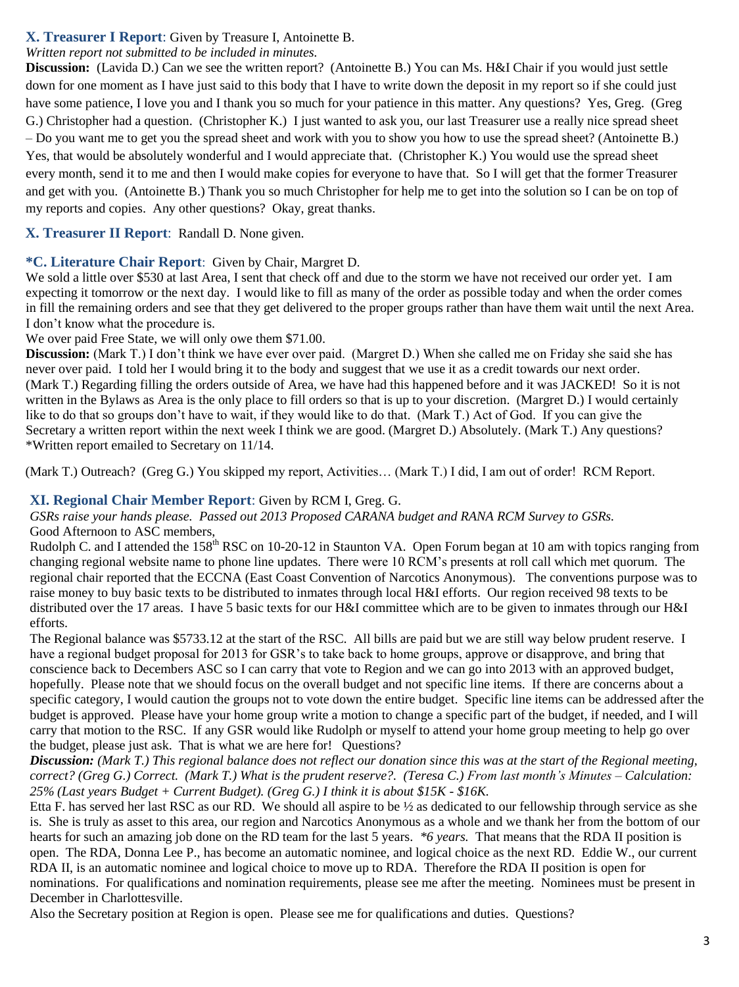#### **X. Treasurer I Report**: Given by Treasure I, Antoinette B.

## *Written report not submitted to be included in minutes.*

**Discussion:** (Lavida D.) Can we see the written report? (Antoinette B.) You can Ms. H&I Chair if you would just settle down for one moment as I have just said to this body that I have to write down the deposit in my report so if she could just have some patience, I love you and I thank you so much for your patience in this matter. Any questions? Yes, Greg. (Greg G.) Christopher had a question. (Christopher K.) I just wanted to ask you, our last Treasurer use a really nice spread sheet – Do you want me to get you the spread sheet and work with you to show you how to use the spread sheet? (Antoinette B.) Yes, that would be absolutely wonderful and I would appreciate that. (Christopher K.) You would use the spread sheet every month, send it to me and then I would make copies for everyone to have that. So I will get that the former Treasurer and get with you. (Antoinette B.) Thank you so much Christopher for help me to get into the solution so I can be on top of my reports and copies. Any other questions? Okay, great thanks.

#### **X. Treasurer II Report**: Randall D. None given.

#### **\*C. Literature Chair Report**: Given by Chair, Margret D.

We sold a little over \$530 at last Area, I sent that check off and due to the storm we have not received our order yet. I am expecting it tomorrow or the next day. I would like to fill as many of the order as possible today and when the order comes in fill the remaining orders and see that they get delivered to the proper groups rather than have them wait until the next Area. I don't know what the procedure is.

We over paid Free State, we will only owe them \$71.00.

**Discussion:** (Mark T.) I don't think we have ever over paid. (Margret D.) When she called me on Friday she said she has never over paid. I told her I would bring it to the body and suggest that we use it as a credit towards our next order. (Mark T.) Regarding filling the orders outside of Area, we have had this happened before and it was JACKED! So it is not written in the Bylaws as Area is the only place to fill orders so that is up to your discretion. (Margret D.) I would certainly like to do that so groups don't have to wait, if they would like to do that. (Mark T.) Act of God. If you can give the Secretary a written report within the next week I think we are good. (Margret D.) Absolutely. (Mark T.) Any questions? \*Written report emailed to Secretary on 11/14.

(Mark T.) Outreach? (Greg G.) You skipped my report, Activities… (Mark T.) I did, I am out of order! RCM Report.

#### **XI. Regional Chair Member Report**: Given by RCM I, Greg. G.

*GSRs raise your hands please. Passed out 2013 Proposed CARANA budget and RANA RCM Survey to GSRs.* Good Afternoon to ASC members,

Rudolph C. and I attended the 158<sup>th</sup> RSC on 10-20-12 in Staunton VA. Open Forum began at 10 am with topics ranging from changing regional website name to phone line updates. There were 10 RCM's presents at roll call which met quorum. The regional chair reported that the ECCNA (East Coast Convention of Narcotics Anonymous). The conventions purpose was to raise money to buy basic texts to be distributed to inmates through local H&I efforts. Our region received 98 texts to be distributed over the 17 areas. I have 5 basic texts for our H&I committee which are to be given to inmates through our H&I efforts.

The Regional balance was \$5733.12 at the start of the RSC. All bills are paid but we are still way below prudent reserve. I have a regional budget proposal for 2013 for GSR's to take back to home groups, approve or disapprove, and bring that conscience back to Decembers ASC so I can carry that vote to Region and we can go into 2013 with an approved budget, hopefully. Please note that we should focus on the overall budget and not specific line items. If there are concerns about a specific category, I would caution the groups not to vote down the entire budget. Specific line items can be addressed after the budget is approved. Please have your home group write a motion to change a specific part of the budget, if needed, and I will carry that motion to the RSC. If any GSR would like Rudolph or myself to attend your home group meeting to help go over the budget, please just ask. That is what we are here for! Questions?

*Discussion: (Mark T.) This regional balance does not reflect our donation since this was at the start of the Regional meeting, correct? (Greg G.) Correct. (Mark T.) What is the prudent reserve?. (Teresa C.) From last month's Minutes – Calculation: 25% (Last years Budget + Current Budget). (Greg G.) I think it is about \$15K - \$16K.*

Etta F. has served her last RSC as our RD. We should all aspire to be  $\frac{1}{2}$  as dedicated to our fellowship through service as she is. She is truly as asset to this area, our region and Narcotics Anonymous as a whole and we thank her from the bottom of our hearts for such an amazing job done on the RD team for the last 5 years. *\*6 years.* That means that the RDA II position is open. The RDA, Donna Lee P., has become an automatic nominee, and logical choice as the next RD. Eddie W., our current RDA II, is an automatic nominee and logical choice to move up to RDA. Therefore the RDA II position is open for nominations. For qualifications and nomination requirements, please see me after the meeting. Nominees must be present in December in Charlottesville.

Also the Secretary position at Region is open. Please see me for qualifications and duties. Questions?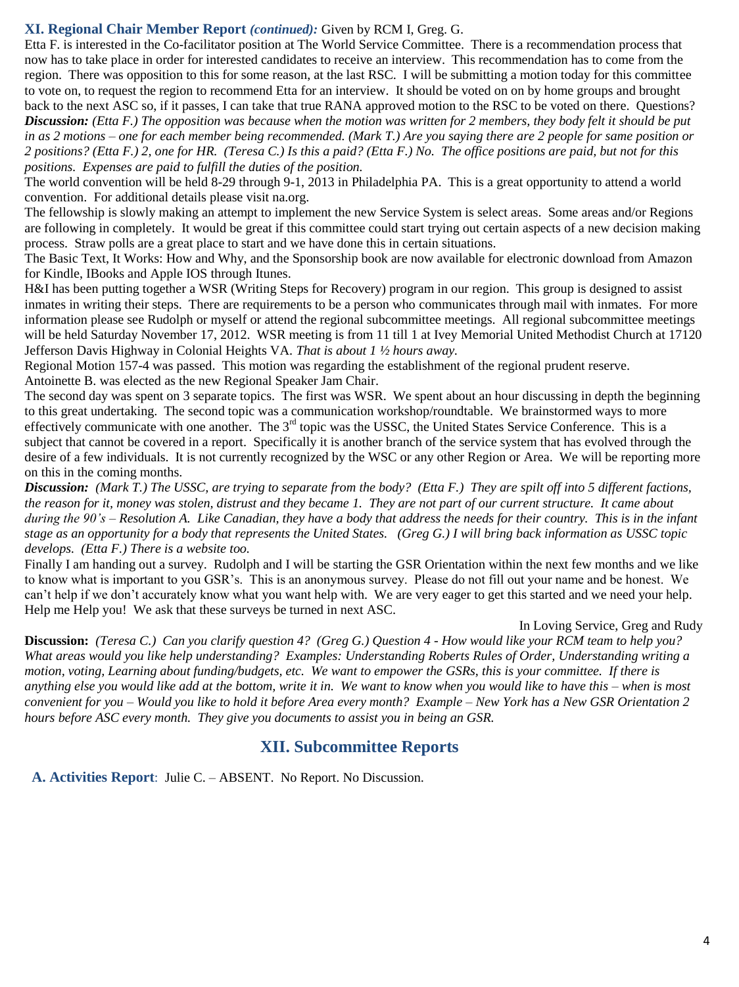#### **XI. Regional Chair Member Report** *(continued):* Given by RCM I, Greg. G.

Etta F. is interested in the Co-facilitator position at The World Service Committee. There is a recommendation process that now has to take place in order for interested candidates to receive an interview. This recommendation has to come from the region. There was opposition to this for some reason, at the last RSC. I will be submitting a motion today for this committee to vote on, to request the region to recommend Etta for an interview. It should be voted on on by home groups and brought back to the next ASC so, if it passes, I can take that true RANA approved motion to the RSC to be voted on there. Questions? *Discussion: (Etta F.) The opposition was because when the motion was written for 2 members, they body felt it should be put in as 2 motions – one for each member being recommended. (Mark T.) Are you saying there are 2 people for same position or 2 positions? (Etta F.) 2, one for HR. (Teresa C.) Is this a paid? (Etta F.) No. The office positions are paid, but not for this positions. Expenses are paid to fulfill the duties of the position.*

The world convention will be held 8-29 through 9-1, 2013 in Philadelphia PA. This is a great opportunity to attend a world convention. For additional details please visit na.org.

The fellowship is slowly making an attempt to implement the new Service System is select areas. Some areas and/or Regions are following in completely. It would be great if this committee could start trying out certain aspects of a new decision making process. Straw polls are a great place to start and we have done this in certain situations.

The Basic Text, It Works: How and Why, and the Sponsorship book are now available for electronic download from Amazon for Kindle, IBooks and Apple IOS through Itunes.

H&I has been putting together a WSR (Writing Steps for Recovery) program in our region. This group is designed to assist inmates in writing their steps. There are requirements to be a person who communicates through mail with inmates. For more information please see Rudolph or myself or attend the regional subcommittee meetings. All regional subcommittee meetings will be held Saturday November 17, 2012. WSR meeting is from 11 till 1 at Ivey Memorial United Methodist Church at 17120 Jefferson Davis Highway in Colonial Heights VA. *That is about 1 ½ hours away.*

Regional Motion 157-4 was passed. This motion was regarding the establishment of the regional prudent reserve. Antoinette B. was elected as the new Regional Speaker Jam Chair.

The second day was spent on 3 separate topics. The first was WSR. We spent about an hour discussing in depth the beginning to this great undertaking. The second topic was a communication workshop/roundtable. We brainstormed ways to more effectively communicate with one another. The 3<sup>rd</sup> topic was the USSC, the United States Service Conference. This is a subject that cannot be covered in a report. Specifically it is another branch of the service system that has evolved through the desire of a few individuals. It is not currently recognized by the WSC or any other Region or Area. We will be reporting more on this in the coming months.

*Discussion: (Mark T.) The USSC, are trying to separate from the body? (Etta F.) They are spilt off into 5 different factions, the reason for it, money was stolen, distrust and they became 1. They are not part of our current structure. It came about during the 90's – Resolution A. Like Canadian, they have a body that address the needs for their country. This is in the infant stage as an opportunity for a body that represents the United States. (Greg G.) I will bring back information as USSC topic develops. (Etta F.) There is a website too.*

Finally I am handing out a survey. Rudolph and I will be starting the GSR Orientation within the next few months and we like to know what is important to you GSR's. This is an anonymous survey. Please do not fill out your name and be honest. We can't help if we don't accurately know what you want help with. We are very eager to get this started and we need your help. Help me Help you! We ask that these surveys be turned in next ASC.

#### In Loving Service, Greg and Rudy

**Discussion:** *(Teresa C.) Can you clarify question 4? (Greg G.) Question 4 - How would like your RCM team to help you? What areas would you like help understanding? Examples: Understanding Roberts Rules of Order, Understanding writing a motion, voting, Learning about funding/budgets, etc. We want to empower the GSRs, this is your committee. If there is anything else you would like add at the bottom, write it in. We want to know when you would like to have this – when is most convenient for you – Would you like to hold it before Area every month? Example – New York has a New GSR Orientation 2 hours before ASC every month. They give you documents to assist you in being an GSR.*

### **XII. Subcommittee Reports**

**A. Activities Report**: Julie C. – ABSENT. No Report. No Discussion.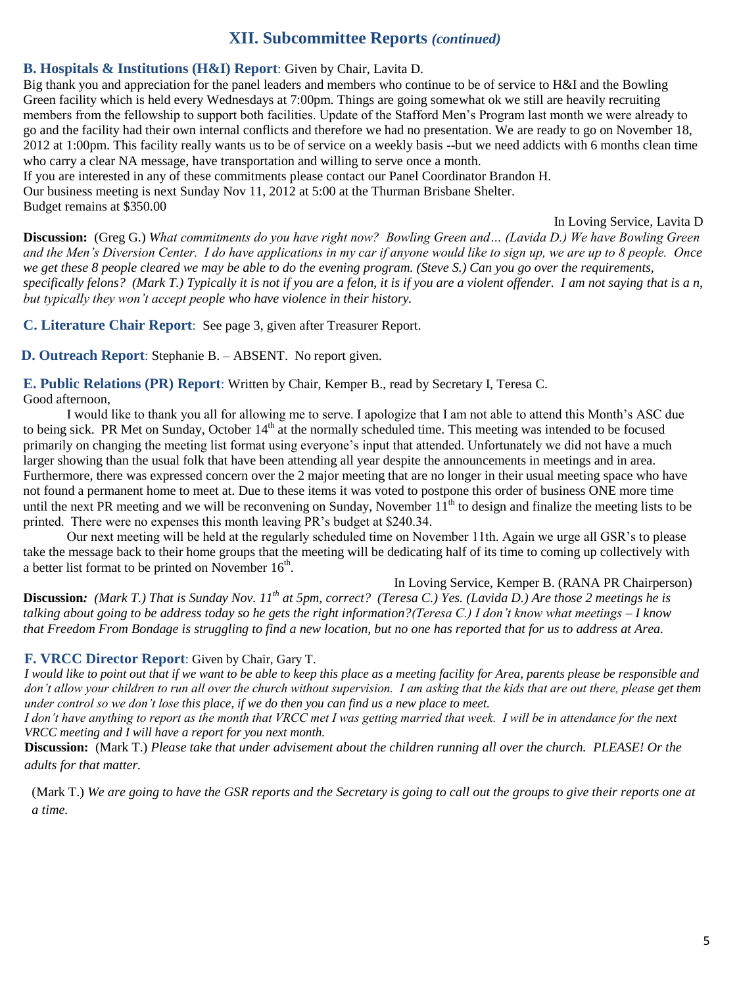# **XII. Subcommittee Reports** *(continued)*

#### **B. Hospitals & Institutions (H&I) Report**: Given by Chair, Lavita D.

Big thank you and appreciation for the panel leaders and members who continue to be of service to H&I and the Bowling Green facility which is held every Wednesdays at 7:00pm. Things are going somewhat ok we still are heavily recruiting members from the fellowship to support both facilities. Update of the Stafford Men's Program last month we were already to go and the facility had their own internal conflicts and therefore we had no presentation. We are ready to go on November 18, 2012 at 1:00pm. This facility really wants us to be of service on a weekly basis --but we need addicts with 6 months clean time who carry a clear NA message, have transportation and willing to serve once a month.

If you are interested in any of these commitments please contact our Panel Coordinator Brandon H.

Our business meeting is next Sunday Nov 11, 2012 at 5:00 at the Thurman Brisbane Shelter.

Budget remains at \$350.00

In Loving Service, Lavita D

**Discussion:** (Greg G.) *What commitments do you have right now? Bowling Green and… (Lavida D.) We have Bowling Green and the Men's Diversion Center. I do have applications in my car if anyone would like to sign up, we are up to 8 people. Once we get these 8 people cleared we may be able to do the evening program. (Steve S.) Can you go over the requirements, specifically felons? (Mark T.) Typically it is not if you are a felon, it is if you are a violent offender. I am not saying that is a n, but typically they won't accept people who have violence in their history.*

**C. Literature Chair Report**: See page 3, given after Treasurer Report.

**D. Outreach Report**: Stephanie B. – ABSENT. No report given.

**E. Public Relations (PR) Report**: Written by Chair, Kemper B., read by Secretary I, Teresa C.

Good afternoon,

I would like to thank you all for allowing me to serve. I apologize that I am not able to attend this Month's ASC due to being sick. PR Met on Sunday, October  $14<sup>th</sup>$  at the normally scheduled time. This meeting was intended to be focused primarily on changing the meeting list format using everyone's input that attended. Unfortunately we did not have a much larger showing than the usual folk that have been attending all year despite the announcements in meetings and in area. Furthermore, there was expressed concern over the 2 major meeting that are no longer in their usual meeting space who have not found a permanent home to meet at. Due to these items it was voted to postpone this order of business ONE more time until the next PR meeting and we will be reconvening on Sunday. November  $11^{th}$  to design and finalize the meeting lists to be printed. There were no expenses this month leaving PR's budget at \$240.34.

Our next meeting will be held at the regularly scheduled time on November 11th. Again we urge all GSR's to please take the message back to their home groups that the meeting will be dedicating half of its time to coming up collectively with a better list format to be printed on November  $16<sup>th</sup>$ .

In Loving Service, Kemper B. (RANA PR Chairperson)

**Discussion:** *(Mark T.) That is Sunday Nov. 11<sup>th</sup> at 5pm, correct? (Teresa C.) Yes. (Lavida D.) Are those 2 meetings he is talking about going to be address today so he gets the right information?(Teresa C.) I don't know what meetings – I know that Freedom From Bondage is struggling to find a new location, but no one has reported that for us to address at Area.*

#### **F. VRCC Director Report**: Given by Chair, Gary T.

*I would like to point out that if we want to be able to keep this place as a meeting facility for Area, parents please be responsible and don't allow your children to run all over the church without supervision. I am asking that the kids that are out there, please get them under control so we don't lose this place, if we do then you can find us a new place to meet.*

*I don't have anything to report as the month that VRCC met I was getting married that week. I will be in attendance for the next VRCC meeting and I will have a report for you next month.*

**Discussion:** (Mark T.) *Please take that under advisement about the children running all over the church. PLEASE! Or the adults for that matter.*

(Mark T.) *We are going to have the GSR reports and the Secretary is going to call out the groups to give their reports one at a time.*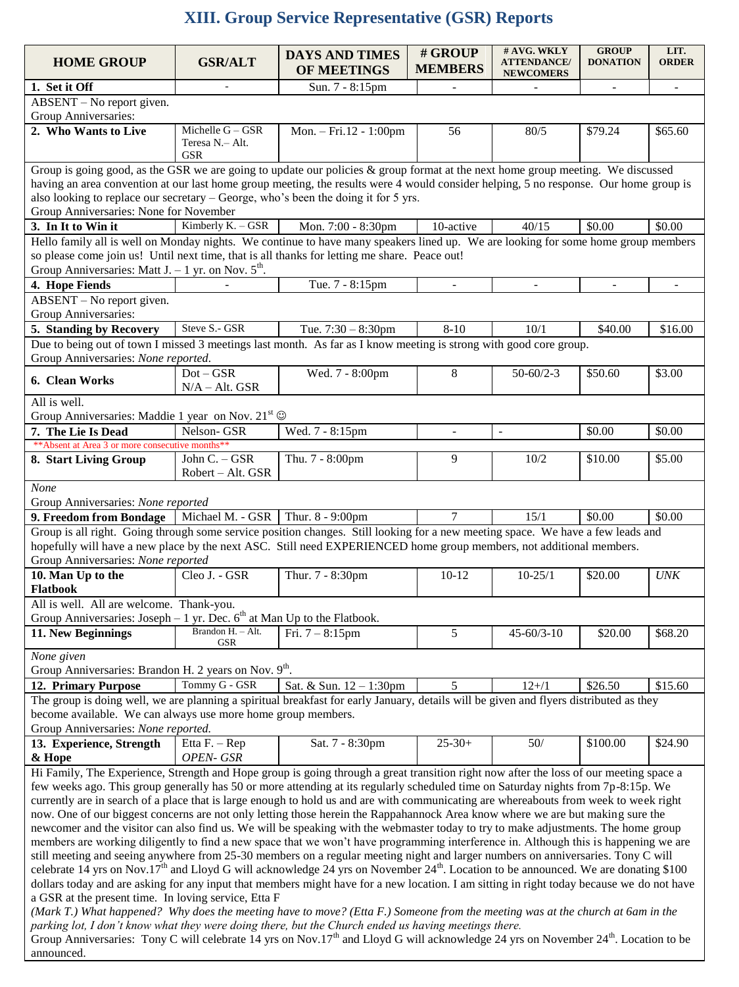# **XIII. Group Service Representative (GSR) Reports**

| <b>HOME GROUP</b>                                                                                                                                                                                                                                                        | <b>GSR/ALT</b>     | <b>DAYS AND TIMES</b>   | # GROUP        | # AVG. WKLY<br><b>ATTENDANCE/</b> | <b>GROUP</b><br><b>DONATION</b> | LIT.<br><b>ORDER</b> |  |
|--------------------------------------------------------------------------------------------------------------------------------------------------------------------------------------------------------------------------------------------------------------------------|--------------------|-------------------------|----------------|-----------------------------------|---------------------------------|----------------------|--|
|                                                                                                                                                                                                                                                                          |                    | OF MEETINGS             | <b>MEMBERS</b> | <b>NEWCOMERS</b>                  |                                 |                      |  |
| 1. Set it Off                                                                                                                                                                                                                                                            |                    | Sun. 7 - 8:15pm         |                |                                   |                                 |                      |  |
| ABSENT - No report given.                                                                                                                                                                                                                                                |                    |                         |                |                                   |                                 |                      |  |
| Group Anniversaries:                                                                                                                                                                                                                                                     |                    |                         |                |                                   |                                 |                      |  |
| 2. Who Wants to Live                                                                                                                                                                                                                                                     | Michelle $G - GSR$ | Mon. - Fri.12 - 1:00pm  | 56             | 80/5                              | \$79.24                         | \$65.60              |  |
|                                                                                                                                                                                                                                                                          | Teresa N. - Alt.   |                         |                |                                   |                                 |                      |  |
|                                                                                                                                                                                                                                                                          | <b>GSR</b>         |                         |                |                                   |                                 |                      |  |
| Group is going good, as the GSR we are going to update our policies & group format at the next home group meeting. We discussed<br>having an area convention at our last home group meeting, the results were 4 would consider helping, 5 no response. Our home group is |                    |                         |                |                                   |                                 |                      |  |
|                                                                                                                                                                                                                                                                          |                    |                         |                |                                   |                                 |                      |  |
| also looking to replace our secretary – George, who's been the doing it for 5 yrs.                                                                                                                                                                                       |                    |                         |                |                                   |                                 |                      |  |
| Group Anniversaries: None for November                                                                                                                                                                                                                                   |                    |                         |                |                                   |                                 |                      |  |
| 3. In It to Win it                                                                                                                                                                                                                                                       | Kimberly $K - GSR$ | Mon. 7:00 - 8:30pm      | 10-active      | 40/15                             | \$0.00                          | \$0.00               |  |
| Hello family all is well on Monday nights. We continue to have many speakers lined up. We are looking for some home group members                                                                                                                                        |                    |                         |                |                                   |                                 |                      |  |
| so please come join us! Until next time, that is all thanks for letting me share. Peace out!                                                                                                                                                                             |                    |                         |                |                                   |                                 |                      |  |
| Group Anniversaries: Matt J. $-1$ yr. on Nov. $5^{\text{th}}$ .                                                                                                                                                                                                          |                    |                         |                |                                   |                                 |                      |  |
| 4. Hope Fiends                                                                                                                                                                                                                                                           |                    | Tue. 7 - 8:15pm         |                |                                   |                                 | $\sim$               |  |
| ABSENT – No report given.                                                                                                                                                                                                                                                |                    |                         |                |                                   |                                 |                      |  |
| Group Anniversaries:                                                                                                                                                                                                                                                     |                    |                         |                |                                   |                                 |                      |  |
| 5. Standing by Recovery                                                                                                                                                                                                                                                  | Steve S.- GSR      | Tue. $7:30 - 8:30$ pm   | $8 - 10$       | 10/1                              | \$40.00                         | \$16.00              |  |
| Due to being out of town I missed 3 meetings last month. As far as I know meeting is strong with good core group.                                                                                                                                                        |                    |                         |                |                                   |                                 |                      |  |
| Group Anniversaries: None reported.                                                                                                                                                                                                                                      |                    |                         |                |                                   |                                 |                      |  |
|                                                                                                                                                                                                                                                                          | $Dot - GSR$        | Wed. 7 - 8:00pm         | 8              | $50 - 60/2 - 3$                   | \$50.60                         | \$3.00               |  |
| <b>6. Clean Works</b>                                                                                                                                                                                                                                                    | $N/A - Alt. GSR$   |                         |                |                                   |                                 |                      |  |
| All is well.                                                                                                                                                                                                                                                             |                    |                         |                |                                   |                                 |                      |  |
| Group Anniversaries: Maddie 1 year on Nov. $21st$ $\odot$                                                                                                                                                                                                                |                    |                         |                |                                   |                                 |                      |  |
| 7. The Lie Is Dead                                                                                                                                                                                                                                                       | Nelson-GSR         | Wed. 7 - 8:15pm         |                | $\blacksquare$                    | \$0.00                          | \$0.00               |  |
| ** Absent at Area 3 or more consecutive months**                                                                                                                                                                                                                         |                    |                         |                |                                   |                                 |                      |  |
| 8. Start Living Group                                                                                                                                                                                                                                                    | John $C. - GSR$    | Thu. 7 - 8:00pm         | 9              | 10/2                              | \$10.00                         | \$5.00               |  |
|                                                                                                                                                                                                                                                                          | Robert – Alt. GSR  |                         |                |                                   |                                 |                      |  |
| <b>None</b>                                                                                                                                                                                                                                                              |                    |                         |                |                                   |                                 |                      |  |
| Group Anniversaries: None reported                                                                                                                                                                                                                                       |                    |                         |                |                                   |                                 |                      |  |
| 9. Freedom from Bondage                                                                                                                                                                                                                                                  | Michael M. - GSR   | Thur. 8 - 9:00pm        | 7              | 15/1                              | \$0.00                          | \$0.00               |  |
| Group is all right. Going through some service position changes. Still looking for a new meeting space. We have a few leads and                                                                                                                                          |                    |                         |                |                                   |                                 |                      |  |
| hopefully will have a new place by the next ASC. Still need EXPERIENCED home group members, not additional members.                                                                                                                                                      |                    |                         |                |                                   |                                 |                      |  |
| Group Anniversaries: None reported                                                                                                                                                                                                                                       |                    |                         |                |                                   |                                 |                      |  |
| 10. Man Up to the                                                                                                                                                                                                                                                        | Cleo J. - GSR      | Thur. 7 - 8:30pm        | $10-12$        | $10 - 25/1$                       | \$20.00                         | <b>UNK</b>           |  |
| Flatbook                                                                                                                                                                                                                                                                 |                    |                         |                |                                   |                                 |                      |  |
| All is well. All are welcome. Thank-you.                                                                                                                                                                                                                                 |                    |                         |                |                                   |                                 |                      |  |
| Group Anniversaries: Joseph $-1$ yr. Dec. $6th$ at Man Up to the Flatbook.                                                                                                                                                                                               |                    |                         |                |                                   |                                 |                      |  |
| 11. New Beginnings                                                                                                                                                                                                                                                       | Brandon H. - Alt.  | Fri. $7 - 8:15$ pm      | 5              | $45 - 60/3 - 10$                  | \$20.00                         | \$68.20              |  |
|                                                                                                                                                                                                                                                                          | GSR                |                         |                |                                   |                                 |                      |  |
| None given                                                                                                                                                                                                                                                               |                    |                         |                |                                   |                                 |                      |  |
| Group Anniversaries: Brandon H. 2 years on Nov. 9 <sup>th</sup> .                                                                                                                                                                                                        |                    |                         |                |                                   |                                 |                      |  |
| 12. Primary Purpose                                                                                                                                                                                                                                                      | Tommy G - GSR      | Sat. & Sun. 12 - 1:30pm | 5              | $12 + / 1$                        | \$26.50                         | \$15.60              |  |
| The group is doing well, we are planning a spiritual breakfast for early January, details will be given and flyers distributed as they                                                                                                                                   |                    |                         |                |                                   |                                 |                      |  |
| become available. We can always use more home group members.                                                                                                                                                                                                             |                    |                         |                |                                   |                                 |                      |  |
| Group Anniversaries: None reported.                                                                                                                                                                                                                                      |                    |                         |                |                                   |                                 |                      |  |
| 13. Experience, Strength                                                                                                                                                                                                                                                 | Etta F. - Rep      | Sat. 7 - 8:30pm         | $25 - 30 +$    | $50/$                             | \$100.00                        | \$24.90              |  |
| & Hope                                                                                                                                                                                                                                                                   | OPEN- GSR          |                         |                |                                   |                                 |                      |  |
| Hi Family, The Experience, Strength and Hope group is going through a great transition right now after the loss of our meeting space a                                                                                                                                   |                    |                         |                |                                   |                                 |                      |  |
| few weeks ago. This group generally has 50 or more attending at its regularly scheduled time on Saturday nights from 7p-8:15p. We                                                                                                                                        |                    |                         |                |                                   |                                 |                      |  |
| currently are in search of a place that is large enough to hold us and are with communicating are whereabouts from week to week right                                                                                                                                    |                    |                         |                |                                   |                                 |                      |  |
| now. One of our biggest concerns are not only letting those herein the Rappahannock Area know where we are but making sure the                                                                                                                                           |                    |                         |                |                                   |                                 |                      |  |
| newcomer and the visitor can also find us. We will be speaking with the webmaster today to try to make adjustments. The home group                                                                                                                                       |                    |                         |                |                                   |                                 |                      |  |
| members are working diligently to find a new space that we won't have programming interference in. Although this is happening we are                                                                                                                                     |                    |                         |                |                                   |                                 |                      |  |
| still meeting and seeing anywhere from 25-30 members on a regular meeting night and larger numbers on anniversaries. Tony C will                                                                                                                                         |                    |                         |                |                                   |                                 |                      |  |
| celebrate 14 yrs on Nov.17 <sup>th</sup> and Lloyd G will acknowledge 24 yrs on November 24 <sup>th</sup> . Location to be announced. We are donating \$100                                                                                                              |                    |                         |                |                                   |                                 |                      |  |
| dollars today and are asking for any input that members might have for a new location. I am sitting in right today because we do not have                                                                                                                                |                    |                         |                |                                   |                                 |                      |  |
| a GSR at the present time. In loving service, Etta F                                                                                                                                                                                                                     |                    |                         |                |                                   |                                 |                      |  |
| (Mark T.) What happened? Why does the meeting have to move? (Etta F.) Someone from the meeting was at the church at 6am in the                                                                                                                                           |                    |                         |                |                                   |                                 |                      |  |
| parking lot, I don't know what they were doing there, but the Church ended us having meetings there.                                                                                                                                                                     |                    |                         |                |                                   |                                 |                      |  |
| Group Anniversaries: Tony C will celebrate 14 yrs on Nov.17 <sup>th</sup> and Lloyd G will acknowledge 24 yrs on November 24 <sup>th</sup> . Location to be                                                                                                              |                    |                         |                |                                   |                                 |                      |  |
| announced.                                                                                                                                                                                                                                                               |                    |                         |                |                                   |                                 |                      |  |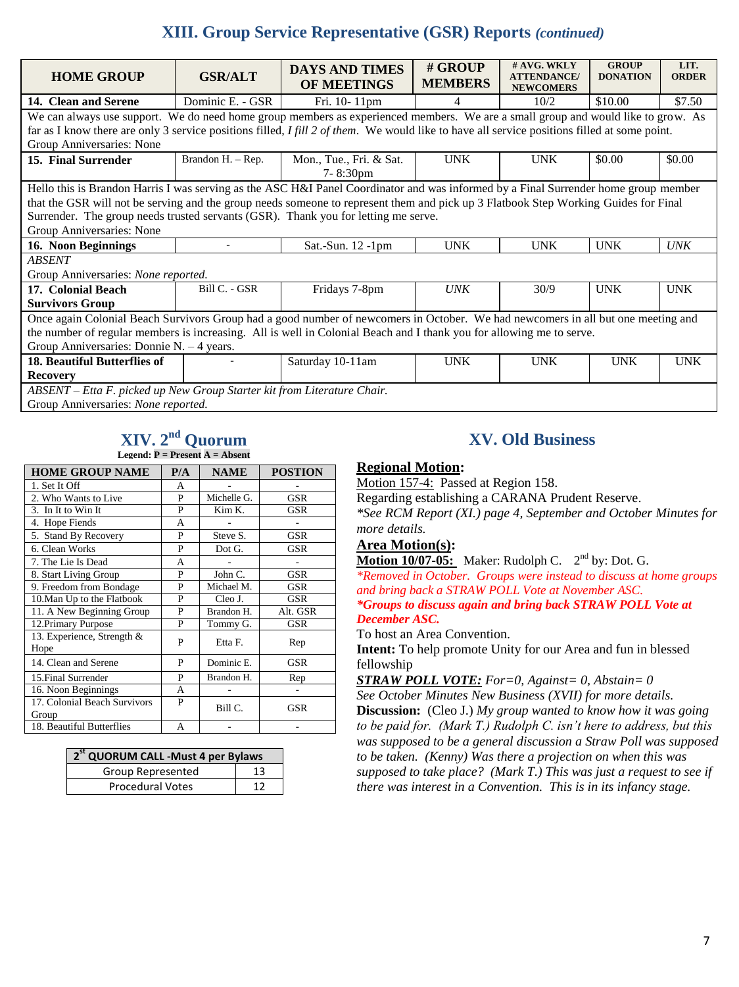# **XIII. Group Service Representative (GSR) Reports** *(continued)*

| <b>HOME GROUP</b>                                                                                                                              | <b>GSR/ALT</b>    | <b>DAYS AND TIMES</b><br>OF MEETINGS | # GROUP<br><b>MEMBERS</b> | # AVG. WKLY<br><b>ATTENDANCE/</b><br><b>NEWCOMERS</b> | <b>GROUP</b><br><b>DONATION</b> | LIT.<br><b>ORDER</b> |  |
|------------------------------------------------------------------------------------------------------------------------------------------------|-------------------|--------------------------------------|---------------------------|-------------------------------------------------------|---------------------------------|----------------------|--|
| 14. Clean and Serene                                                                                                                           | Dominic E. - GSR  | Fri. 10-11pm                         |                           | 10/2                                                  | \$10.00                         | \$7.50               |  |
| We can always use support. We do need home group members as experienced members. We are a small group and would like to grow. As               |                   |                                      |                           |                                                       |                                 |                      |  |
| far as I know there are only 3 service positions filled, $I$ fill 2 of them. We would like to have all service positions filled at some point. |                   |                                      |                           |                                                       |                                 |                      |  |
| Group Anniversaries: None                                                                                                                      |                   |                                      |                           |                                                       |                                 |                      |  |
| 15. Final Surrender                                                                                                                            | Brandon H. - Rep. | Mon., Tue., Fri. & Sat.              | <b>UNK</b>                | <b>UNK</b>                                            | \$0.00                          | \$0.00               |  |
|                                                                                                                                                |                   | 7-8:30pm                             |                           |                                                       |                                 |                      |  |
| Hello this is Brandon Harris I was serving as the ASC H&I Panel Coordinator and was informed by a Final Surrender home group member            |                   |                                      |                           |                                                       |                                 |                      |  |
| that the GSR will not be serving and the group needs someone to represent them and pick up 3 Flatbook Step Working Guides for Final            |                   |                                      |                           |                                                       |                                 |                      |  |
| Surrender. The group needs trusted servants (GSR). Thank you for letting me serve.                                                             |                   |                                      |                           |                                                       |                                 |                      |  |
| Group Anniversaries: None                                                                                                                      |                   |                                      |                           |                                                       |                                 |                      |  |
| 16. Noon Beginnings                                                                                                                            |                   | Sat.-Sun. 12 -1pm                    | <b>UNK</b>                | <b>UNK</b>                                            | <b>UNK</b>                      | <b>UNK</b>           |  |
| ABSENT                                                                                                                                         |                   |                                      |                           |                                                       |                                 |                      |  |
| Group Anniversaries: None reported.                                                                                                            |                   |                                      |                           |                                                       |                                 |                      |  |
| 17. Colonial Beach                                                                                                                             | Bill C. - GSR     | Fridays 7-8pm                        | <b>UNK</b>                | 30/9                                                  | <b>UNK</b>                      | <b>UNK</b>           |  |
| <b>Survivors Group</b>                                                                                                                         |                   |                                      |                           |                                                       |                                 |                      |  |
| Once again Colonial Beach Survivors Group had a good number of newcomers in October. We had newcomers in all but one meeting and               |                   |                                      |                           |                                                       |                                 |                      |  |
| the number of regular members is increasing. All is well in Colonial Beach and I thank you for allowing me to serve.                           |                   |                                      |                           |                                                       |                                 |                      |  |
| Group Anniversaries: Donnie N. $-4$ years.                                                                                                     |                   |                                      |                           |                                                       |                                 |                      |  |
| 18. Beautiful Butterflies of                                                                                                                   |                   | Saturday 10-11am                     | <b>UNK</b>                | <b>UNK</b>                                            | <b>UNK</b>                      | <b>UNK</b>           |  |
| <b>Recovery</b>                                                                                                                                |                   |                                      |                           |                                                       |                                 |                      |  |
| ABSENT - Etta F. picked up New Group Starter kit from Literature Chair.                                                                        |                   |                                      |                           |                                                       |                                 |                      |  |
| Group Anniversaries: None reported.                                                                                                            |                   |                                      |                           |                                                       |                                 |                      |  |

# **XIV. 2 nd Quorum**

| <b>HOME GROUP NAME</b>                | P/A | <b>NAME</b> | <b>POSTION</b> |
|---------------------------------------|-----|-------------|----------------|
| 1. Set It Off                         | A   |             |                |
| 2. Who Wants to Live                  | P   | Michelle G. | <b>GSR</b>     |
| 3. In It to Win It                    | P   | Kim K.      | <b>GSR</b>     |
| 4. Hope Fiends                        | A   |             |                |
| 5. Stand By Recovery                  | P   | Steve S.    | <b>GSR</b>     |
| 6. Clean Works                        | P   | Dot G.      | <b>GSR</b>     |
| 7. The Lie Is Dead                    | A   |             |                |
| 8. Start Living Group                 | P   | John C.     | <b>GSR</b>     |
| 9. Freedom from Bondage               | P   | Michael M.  | <b>GSR</b>     |
| 10. Man Up to the Flatbook            | P   | Cleo J.     | <b>GSR</b>     |
| 11. A New Beginning Group             | P   | Brandon H.  | Alt. GSR       |
| 12. Primary Purpose                   | P   | Tommy G.    | <b>GSR</b>     |
| 13. Experience, Strength &<br>Hope    | P   | Etta F.     | Rep            |
| 14. Clean and Serene                  | P   | Dominic E.  | GSR            |
| 15. Final Surrender                   | P   | Brandon H.  | Rep            |
| 16. Noon Beginnings                   | A   |             |                |
| 17. Colonial Beach Survivors<br>Group | P   | Bill C.     | <b>GSR</b>     |
| 18. Beautiful Butterflies             | A   |             |                |

| 2 <sup>st</sup> QUORUM CALL -Must 4 per Bylaws |    |  |  |  |  |
|------------------------------------------------|----|--|--|--|--|
| Group Represented                              | 13 |  |  |  |  |
| <b>Procedural Votes</b>                        | 17 |  |  |  |  |

## **XV. Old Business**

#### **Regional Motion:**

Motion 157-4:Passed at Region 158.

Regarding establishing a CARANA Prudent Reserve. *\*See RCM Report (XI.) page 4, September and October Minutes for more details.*

#### **Area Motion(s):**

**Motion 10/07-05:** Maker: Rudolph C. 2<sup>nd</sup> by: Dot. G. *\*Removed in October. Groups were instead to discuss at home groups and bring back a STRAW POLL Vote at November ASC. \*Groups to discuss again and bring back STRAW POLL Vote at December ASC.*

# To host an Area Convention.

**Intent:** To help promote Unity for our Area and fun in blessed fellowship

*STRAW POLL VOTE: For=0, Against= 0, Abstain= 0 See October Minutes New Business (XVII) for more details.* **Discussion:** (Cleo J.) *My group wanted to know how it was going to be paid for. (Mark T.) Rudolph C. isn't here to address, but this was supposed to be a general discussion a Straw Poll was supposed to be taken. (Kenny) Was there a projection on when this was supposed to take place? (Mark T.) This was just a request to see if there was interest in a Convention. This is in its infancy stage.*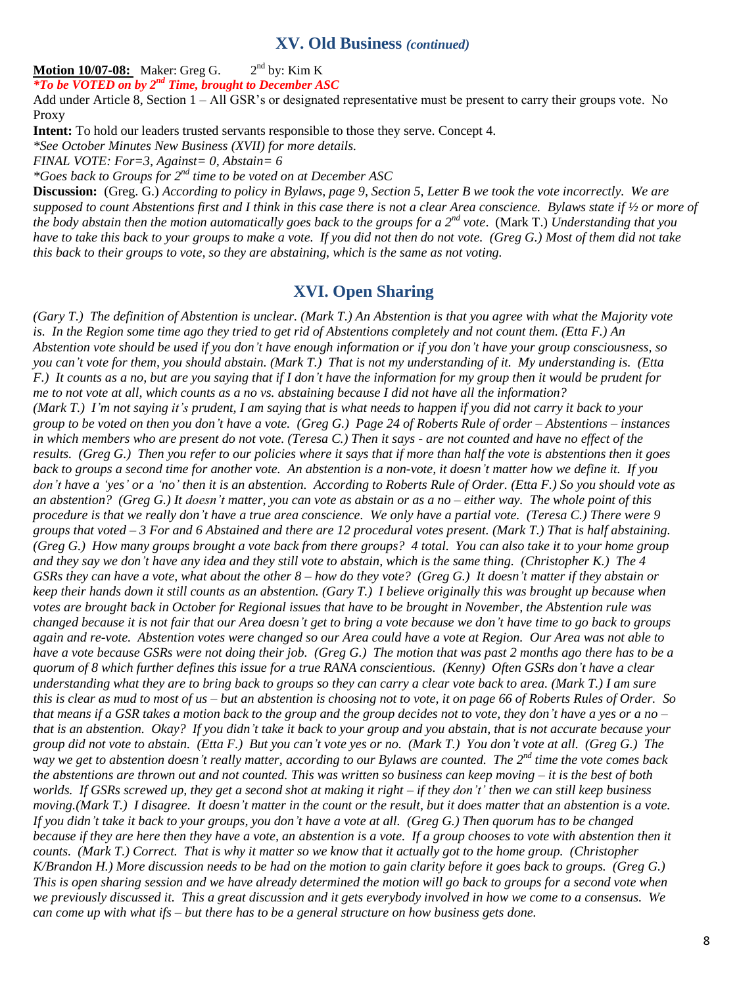#### **XV. Old Business** *(continued)*

**Motion 10/07-08:** Maker: Greg G.  $2^{nd}$  by: Kim K

*\*To be VOTED on by 2<sup>nd</sup> Time, brought to December ASC* 

Add under Article 8, Section 1 – All GSR's or designated representative must be present to carry their groups vote. No Proxy

**Intent:** To hold our leaders trusted servants responsible to those they serve. Concept 4.

*\*See October Minutes New Business (XVII) for more details.*

*FINAL VOTE: For=3, Against= 0, Abstain= 6*

*\*Goes back to Groups for 2nd time to be voted on at December ASC*

**Discussion:** (Greg. G.) *According to policy in Bylaws, page 9, Section 5, Letter B we took the vote incorrectly. We are supposed to count Abstentions first and I think in this case there is not a clear Area conscience. Bylaws state if ½ or more of the body abstain then the motion automatically goes back to the groups for a 2nd vote*. (Mark T.) *Understanding that you have to take this back to your groups to make a vote. If you did not then do not vote. (Greg G.) Most of them did not take this back to their groups to vote, so they are abstaining, which is the same as not voting.* 

#### **XVI. Open Sharing**

*(Gary T.) The definition of Abstention is unclear. (Mark T.) An Abstention is that you agree with what the Majority vote is. In the Region some time ago they tried to get rid of Abstentions completely and not count them. (Etta F.) An Abstention vote should be used if you don't have enough information or if you don't have your group consciousness, so you can't vote for them, you should abstain. (Mark T.) That is not my understanding of it. My understanding is. (Etta F.) It counts as a no, but are you saying that if I don't have the information for my group then it would be prudent for me to not vote at all, which counts as a no vs. abstaining because I did not have all the information? (Mark T.) I'm not saying it's prudent, I am saying that is what needs to happen if you did not carry it back to your group to be voted on then you don't have a vote. (Greg G.) Page 24 of Roberts Rule of order – Abstentions – instances in which members who are present do not vote. (Teresa C.) Then it says - are not counted and have no effect of the results. (Greg G.) Then you refer to our policies where it says that if more than half the vote is abstentions then it goes back to groups a second time for another vote. An abstention is a non-vote, it doesn't matter how we define it. If you don't have a 'yes' or a 'no' then it is an abstention. According to Roberts Rule of Order. (Etta F.) So you should vote as an abstention? (Greg G.) It doesn't matter, you can vote as abstain or as a no – either way. The whole point of this procedure is that we really don't have a true area conscience. We only have a partial vote. (Teresa C.) There were 9 groups that voted – 3 For and 6 Abstained and there are 12 procedural votes present. (Mark T.) That is half abstaining. (Greg G.) How many groups brought a vote back from there groups? 4 total. You can also take it to your home group and they say we don't have any idea and they still vote to abstain, which is the same thing. (Christopher K.) The 4 GSRs they can have a vote, what about the other 8 – how do they vote? (Greg G.) It doesn't matter if they abstain or keep their hands down it still counts as an abstention. (Gary T.) I believe originally this was brought up because when votes are brought back in October for Regional issues that have to be brought in November, the Abstention rule was changed because it is not fair that our Area doesn't get to bring a vote because we don't have time to go back to groups again and re-vote. Abstention votes were changed so our Area could have a vote at Region. Our Area was not able to have a vote because GSRs were not doing their job. (Greg G.) The motion that was past 2 months ago there has to be a quorum of 8 which further defines this issue for a true RANA conscientious. (Kenny) Often GSRs don't have a clear understanding what they are to bring back to groups so they can carry a clear vote back to area. (Mark T.) I am sure this is clear as mud to most of us – but an abstention is choosing not to vote, it on page 66 of Roberts Rules of Order. So that means if a GSR takes a motion back to the group and the group decides not to vote, they don't have a yes or a no – that is an abstention. Okay? If you didn't take it back to your group and you abstain, that is not accurate because your group did not vote to abstain. (Etta F.) But you can't vote yes or no. (Mark T.) You don't vote at all. (Greg G.) The way we get to abstention doesn't really matter, according to our Bylaws are counted. The 2nd time the vote comes back the abstentions are thrown out and not counted. This was written so business can keep moving – it is the best of both worlds. If GSRs screwed up, they get a second shot at making it right – if they don't' then we can still keep business moving.(Mark T.) I disagree. It doesn't matter in the count or the result, but it does matter that an abstention is a vote. If you didn't take it back to your groups, you don't have a vote at all. (Greg G.) Then quorum has to be changed because if they are here then they have a vote, an abstention is a vote. If a group chooses to vote with abstention then it counts. (Mark T.) Correct. That is why it matter so we know that it actually got to the home group. (Christopher K/Brandon H.) More discussion needs to be had on the motion to gain clarity before it goes back to groups. (Greg G.) This is open sharing session and we have already determined the motion will go back to groups for a second vote when we previously discussed it. This a great discussion and it gets everybody involved in how we come to a consensus. We can come up with what ifs – but there has to be a general structure on how business gets done.*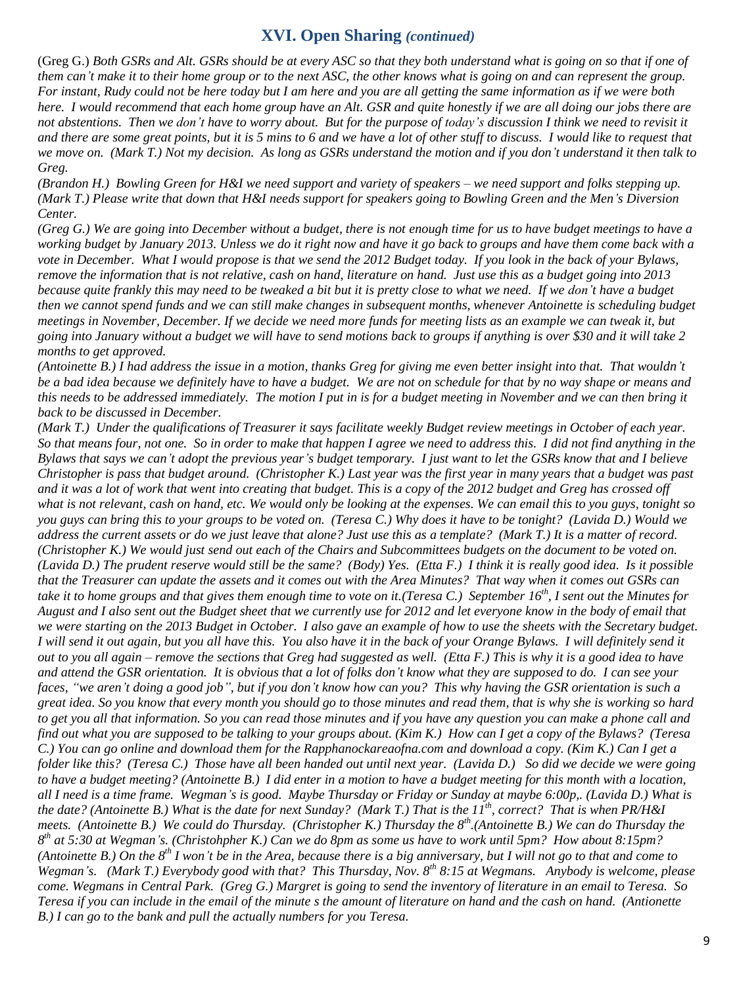# **XVI. Open Sharing** *(continued)*

(Greg G.) *Both GSRs and Alt. GSRs should be at every ASC so that they both understand what is going on so that if one of them can't make it to their home group or to the next ASC, the other knows what is going on and can represent the group. For instant, Rudy could not be here today but I am here and you are all getting the same information as if we were both here. I would recommend that each home group have an Alt. GSR and quite honestly if we are all doing our jobs there are not abstentions. Then we don't have to worry about. But for the purpose of today's discussion I think we need to revisit it and there are some great points, but it is 5 mins to 6 and we have a lot of other stuff to discuss. I would like to request that we move on. (Mark T.) Not my decision. As long as GSRs understand the motion and if you don't understand it then talk to Greg.*

*(Brandon H.) Bowling Green for H&I we need support and variety of speakers – we need support and folks stepping up. (Mark T.) Please write that down that H&I needs support for speakers going to Bowling Green and the Men's Diversion Center.*

*(Greg G.) We are going into December without a budget, there is not enough time for us to have budget meetings to have a working budget by January 2013. Unless we do it right now and have it go back to groups and have them come back with a vote in December. What I would propose is that we send the 2012 Budget today. If you look in the back of your Bylaws, remove the information that is not relative, cash on hand, literature on hand. Just use this as a budget going into 2013 because quite frankly this may need to be tweaked a bit but it is pretty close to what we need. If we don't have a budget then we cannot spend funds and we can still make changes in subsequent months, whenever Antoinette is scheduling budget meetings in November, December. If we decide we need more funds for meeting lists as an example we can tweak it, but going into January without a budget we will have to send motions back to groups if anything is over \$30 and it will take 2 months to get approved.* 

*(Antoinette B.) I had address the issue in a motion, thanks Greg for giving me even better insight into that. That wouldn't be a bad idea because we definitely have to have a budget. We are not on schedule for that by no way shape or means and this needs to be addressed immediately. The motion I put in is for a budget meeting in November and we can then bring it back to be discussed in December.*

*(Mark T.) Under the qualifications of Treasurer it says facilitate weekly Budget review meetings in October of each year. So that means four, not one. So in order to make that happen I agree we need to address this. I did not find anything in the Bylaws that says we can't adopt the previous year's budget temporary. I just want to let the GSRs know that and I believe Christopher is pass that budget around. (Christopher K.) Last year was the first year in many years that a budget was past and it was a lot of work that went into creating that budget. This is a copy of the 2012 budget and Greg has crossed off what is not relevant, cash on hand, etc. We would only be looking at the expenses. We can email this to you guys, tonight so you guys can bring this to your groups to be voted on. (Teresa C.) Why does it have to be tonight? (Lavida D.) Would we address the current assets or do we just leave that alone? Just use this as a template? (Mark T.) It is a matter of record. (Christopher K.) We would just send out each of the Chairs and Subcommittees budgets on the document to be voted on. (Lavida D.) The prudent reserve would still be the same? (Body) Yes. (Etta F.) I think it is really good idea. Is it possible that the Treasurer can update the assets and it comes out with the Area Minutes? That way when it comes out GSRs can*  take it to home groups and that gives them enough time to vote on it.(Teresa C.) September 16<sup>th</sup>, I sent out the Minutes for *August and I also sent out the Budget sheet that we currently use for 2012 and let everyone know in the body of email that we were starting on the 2013 Budget in October. I also gave an example of how to use the sheets with the Secretary budget. I* will send it out again, but you all have this. You also have it in the back of your Orange Bylaws. I will definitely send it *out to you all again – remove the sections that Greg had suggested as well. (Etta F.) This is why it is a good idea to have and attend the GSR orientation. It is obvious that a lot of folks don't know what they are supposed to do. I can see your faces, "we aren't doing a good job", but if you don't know how can you? This why having the GSR orientation is such a great idea. So you know that every month you should go to those minutes and read them, that is why she is working so hard to get you all that information. So you can read those minutes and if you have any question you can make a phone call and find out what you are supposed to be talking to your groups about. (Kim K.) How can I get a copy of the Bylaws? (Teresa C.) You can go online and download them for the Rapphanockareaofna.com and download a copy. (Kim K.) Can I get a folder like this? (Teresa C.) Those have all been handed out until next year. (Lavida D.) So did we decide we were going to have a budget meeting? (Antoinette B.) I did enter in a motion to have a budget meeting for this month with a location, all I need is a time frame. Wegman's is good. Maybe Thursday or Friday or Sunday at maybe 6:00p,. (Lavida D.) What is the date? (Antoinette B.) What is the date for next Sunday? (Mark T.) That is the 11th , correct? That is when PR/H&I meets. (Antoinette B.) We could do Thursday. (Christopher K.) Thursday the 8th .(Antoinette B.) We can do Thursday the 8 th at 5:30 at Wegman's. (Christohpher K.) Can we do 8pm as some us have to work until 5pm? How about 8:15pm? (Antoinette B.) On the 8th I won't be in the Area, because there is a big anniversary, but I will not go to that and come to Wegman's. (Mark T.) Everybody good with that? This Thursday, Nov. 8th 8:15 at Wegmans. Anybody is welcome, please come. Wegmans in Central Park. (Greg G.) Margret is going to send the inventory of literature in an email to Teresa. So Teresa if you can include in the email of the minute s the amount of literature on hand and the cash on hand. (Antionette B.) I can go to the bank and pull the actually numbers for you Teresa.*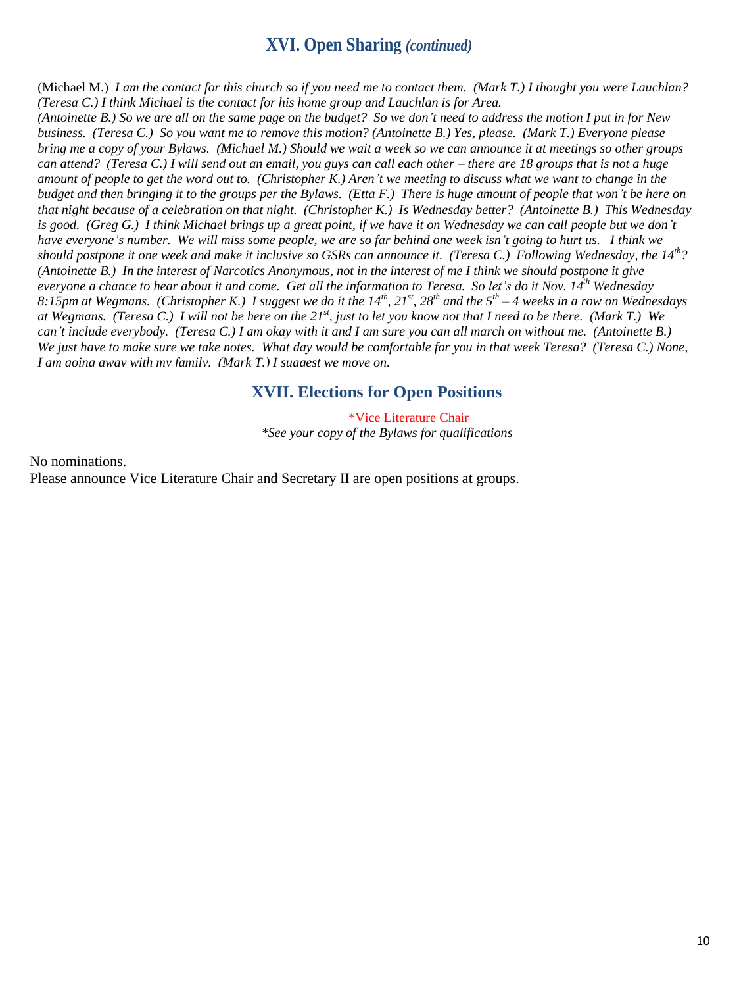(Michael M.) *I am the contact for this church so if you need me to contact them. (Mark T.) I thought you were Lauchlan? (Teresa C.) I think Michael is the contact for his home group and Lauchlan is for Area.* 

XVI. Open Sharing (continued)<br>
reduces of the source of the context them. (Made E.) I thought you were Louchbar?<br>
The sign of the soular of the context them. (Made E.) is the solar of the mediator of the solar of the sola *(Antoinette B.) So we are all on the same page on the budget? So we don't need to address the motion I put in for New business. (Teresa C.) So you want me to remove this motion? (Antoinette B.) Yes, please. (Mark T.) Everyone please bring me a copy of your Bylaws. (Michael M.) Should we wait a week so we can announce it at meetings so other groups can attend? (Teresa C.) I will send out an email, you guys can call each other – there are 18 groups that is not a huge amount of people to get the word out to. (Christopher K.) Aren't we meeting to discuss what we want to change in the budget and then bringing it to the groups per the Bylaws. (Etta F.) There is huge amount of people that won't be here on that night because of a celebration on that night. (Christopher K.) Is Wednesday better? (Antoinette B.) This Wednesday is good. (Greg G.) I think Michael brings up a great point, if we have it on Wednesday we can call people but we don't have everyone's number. We will miss some people, we are so far behind one week isn't going to hurt us. I think we should postpone it one week and make it inclusive so GSRs can announce it. (Teresa C.) Following Wednesday, the 14th? (Antoinette B.) In the interest of Narcotics Anonymous, not in the interest of me I think we should postpone it give everyone a chance to hear about it and come. Get all the information to Teresa. So let's do it Nov. 14th Wednesday 8:15pm at Wegmans. (Christopher K.) I suggest we do it the 14th, 21st , 28th and the 5th – 4 weeks in a row on Wednesdays at Wegmans. (Teresa C.) I will not be here on the 21st, just to let you know not that I need to be there. (Mark T.) We can't include everybody. (Teresa C.) I am okay with it and I am sure you can all march on without me. (Antoinette B.) We just have to make sure we take notes. What day would be comfortable for you in that week Teresa? (Teresa C.) None, I am going away with my family. (Mark T.) I suggest we move on.* 

### **XVII. Elections for Open Positions**

\*Vice Literature Chair *\*See your copy of the Bylaws for qualifications*

No nominations. Please announce Vice Literature Chair and Secretary II are open positions at groups.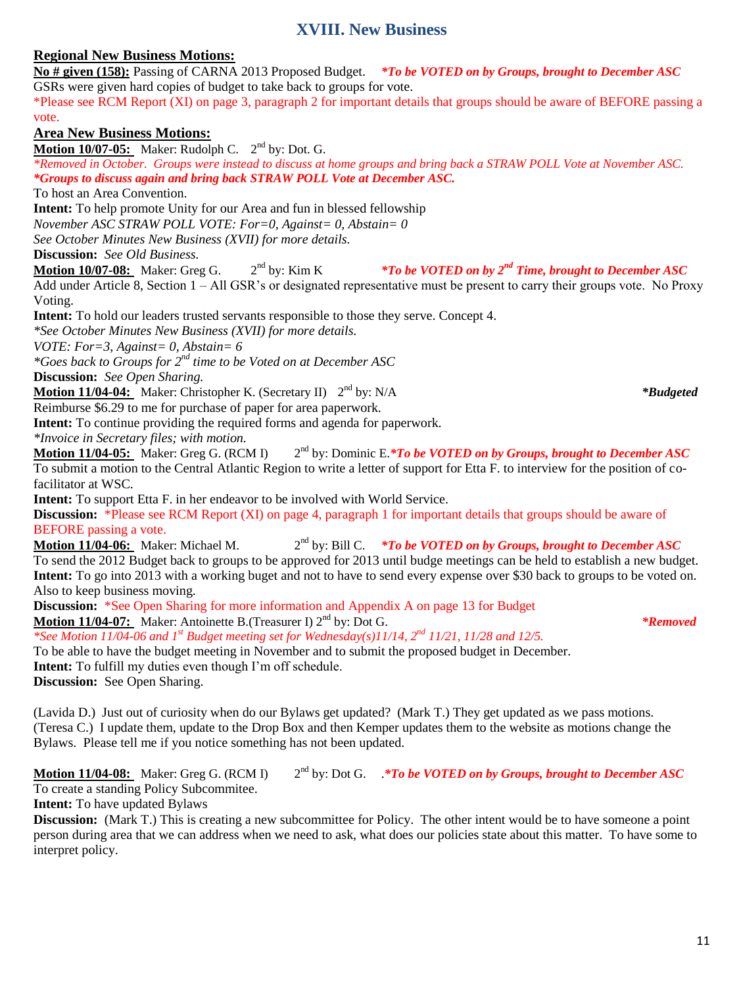# **XVIII. New Business**

#### **Regional New Business Motions:**

**No # given (158):** Passing of CARNA 2013 Proposed Budget. *\*To be VOTED on by Groups, brought to December ASC* GSRs were given hard copies of budget to take back to groups for vote. \*Please see RCM Report (XI) on page 3, paragraph 2 for important details that groups should be aware of BEFORE passing a vote.

#### **Area New Business Motions:**

**Motion 10/07-05:** Maker: Rudolph C. 2<sup>nd</sup> by: Dot. G.

*\*Removed in October. Groups were instead to discuss at home groups and bring back a STRAW POLL Vote at November ASC. \*Groups to discuss again and bring back STRAW POLL Vote at December ASC.*

To host an Area Convention.

**Intent:** To help promote Unity for our Area and fun in blessed fellowship

*November ASC STRAW POLL VOTE: For=0, Against= 0, Abstain= 0*

*See October Minutes New Business (XVII) for more details.*

**Discussion:** *See Old Business.*

**Motion 10/07-08:** Maker: Greg G. 2<sup>nd</sup> by: Kim K <sup>nd</sup> by: Kim K *\*To be VOTED on by 2<sup>nd</sup> Time, brought to December ASC* 

Add under Article 8, Section 1 – All GSR's or designated representative must be present to carry their groups vote. No Proxy Voting.

**Intent:** To hold our leaders trusted servants responsible to those they serve. Concept 4.

*\*See October Minutes New Business (XVII) for more details.*

*VOTE: For=3, Against= 0, Abstain= 6*

*\*Goes back to Groups for 2nd time to be Voted on at December ASC*

**Discussion:** *See Open Sharing.*

**Motion 11/04-04:** Maker: Christopher K. (Secretary II)  $2^{nd}$  by: N/A *\*Budgeted* 

Reimburse \$6.29 to me for purchase of paper for area paperwork.

**Intent:** To continue providing the required forms and agenda for paperwork.

*\*Invoice in Secretary files; with motion.*

**Motion 11/04-05:** Maker: Greg G. (RCM I) 2<sup>nd</sup> by: Dominic E.\***To be VOTED on by Groups, brought to December ASC** To submit a motion to the Central Atlantic Region to write a letter of support for Etta F. to interview for the position of cofacilitator at WSC.

**Intent:** To support Etta F. in her endeavor to be involved with World Service.

**Discussion:** \*Please see RCM Report (XI) on page 4, paragraph 1 for important details that groups should be aware of BEFORE passing a vote.

**Motion 11/04-06:** Maker: Michael M. 2 2<sup>nd</sup> by: Bill C. *\*To be VOTED on by Groups, brought to December ASC* To send the 2012 Budget back to groups to be approved for 2013 until budge meetings can be held to establish a new budget. **Intent:** To go into 2013 with a working buget and not to have to send every expense over \$30 back to groups to be voted on. Also to keep business moving.

**Discussion:** \*See Open Sharing for more information and Appendix A on page 13 for Budget

**Motion 11/04-07:** Maker: Antoinette B.(Treasurer I) 2 nd by: Dot G. *\*Removed \*See Motion 11/04-06 and 1st Budget meeting set for Wednesday(s)11/14, 2nd 11/21, 11/28 and 12/5.*

To be able to have the budget meeting in November and to submit the proposed budget in December.

**Intent:** To fulfill my duties even though I'm off schedule.

**Discussion:** See Open Sharing.

(Lavida D.) Just out of curiosity when do our Bylaws get updated? (Mark T.) They get updated as we pass motions. (Teresa C.) I update them, update to the Drop Box and then Kemper updates them to the website as motions change the Bylaws. Please tell me if you notice something has not been updated.

**Motion 11/04-08:** Maker: Greg G. (RCM I) nd by: Dot G. .*\*To be VOTED on by Groups, brought to December ASC* To create a standing Policy Subcommitee.

**Intent:** To have updated Bylaws

**Discussion:** (Mark T.) This is creating a new subcommittee for Policy. The other intent would be to have someone a point person during area that we can address when we need to ask, what does our policies state about this matter. To have some to interpret policy.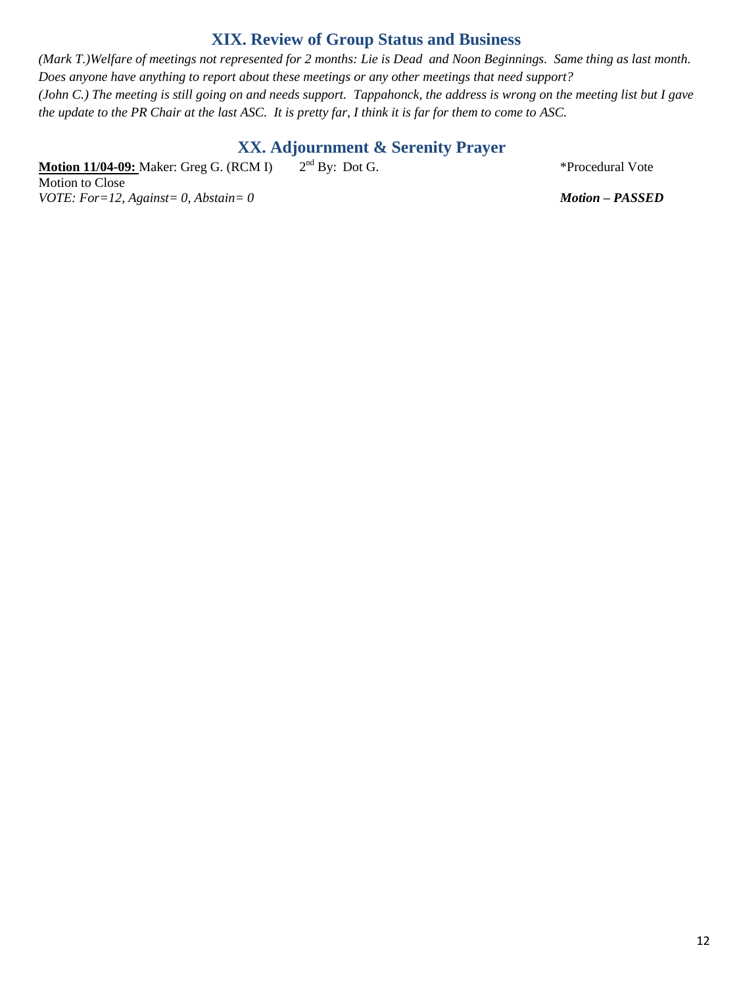# **XIX. Review of Group Status and Business**

*(Mark T.)Welfare of meetings not represented for 2 months: Lie is Dead and Noon Beginnings. Same thing as last month. Does anyone have anything to report about these meetings or any other meetings that need support? (John C.) The meeting is still going on and needs support. Tappahonck, the address is wrong on the meeting list but I gave the update to the PR Chair at the last ASC. It is pretty far, I think it is far for them to come to ASC.*

### **XX. Adjournment & Serenity Prayer**

**Motion 11/04-09:** Maker: Greg G. (RCM I)  $2<sup>nd</sup>$  By: Dot G. Motion to Close *VOTE: For=12, Against= 0, Abstain= 0 Motion – PASSED*

\*Procedural Vote